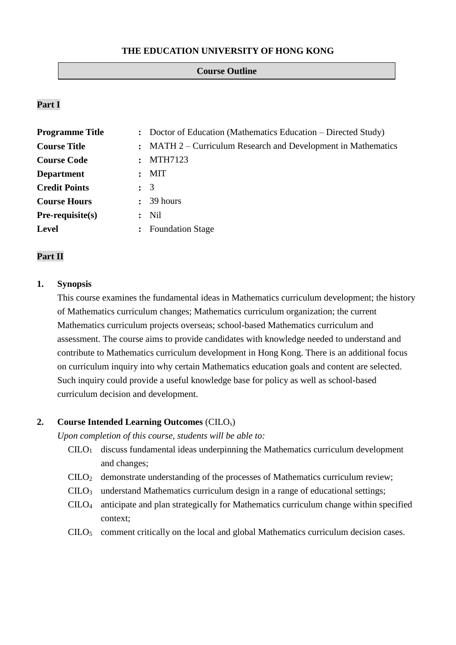## **THE EDUCATION UNIVERSITY OF HONG KONG**

#### **Course Outline**

## **Part I**

| <b>Programme Title</b> |                | : Doctor of Education (Mathematics Education – Directed Study) |  |  |
|------------------------|----------------|----------------------------------------------------------------|--|--|
| <b>Course Title</b>    |                | : MATH 2 – Curriculum Research and Development in Mathematics  |  |  |
| <b>Course Code</b>     |                | : MTH7123                                                      |  |  |
| <b>Department</b>      | $\ddot{\cdot}$ | MIT                                                            |  |  |
| <b>Credit Points</b>   | $\colon$ 3     |                                                                |  |  |
| <b>Course Hours</b>    |                | $\therefore$ 39 hours                                          |  |  |
| $Pre-requisite(s)$     | $\ddot{\cdot}$ | Nil                                                            |  |  |
| <b>Level</b>           |                | <b>Foundation Stage</b>                                        |  |  |

## **Part II**

## **1. Synopsis**

This course examines the fundamental ideas in Mathematics curriculum development; the history of Mathematics curriculum changes; Mathematics curriculum organization; the current Mathematics curriculum projects overseas; school-based Mathematics curriculum and assessment. The course aims to provide candidates with knowledge needed to understand and contribute to Mathematics curriculum development in Hong Kong. There is an additional focus on curriculum inquiry into why certain Mathematics education goals and content are selected. Such inquiry could provide a useful knowledge base for policy as well as school-based curriculum decision and development.

## **2. Course Intended Learning Outcomes** (CILOs)

*Upon completion of this course, students will be able to:*

- $C I L O<sub>1</sub>$  discuss fundamental ideas underpinning the Mathematics curriculum development and changes;
- CILO<sup>2</sup> demonstrate understanding of the processes of Mathematics curriculum review;
- CILO<sup>3</sup> understand Mathematics curriculum design in a range of educational settings;
- CILO<sup>4</sup> anticipate and plan strategically for Mathematics curriculum change within specified context;
- CILO<sup>5</sup> comment critically on the local and global Mathematics curriculum decision cases.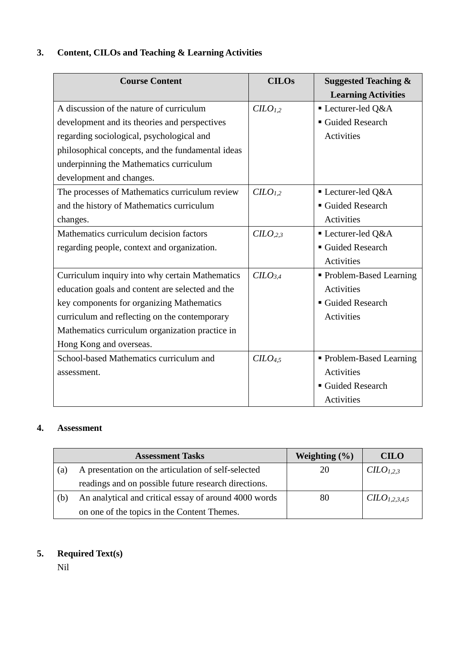# **3. Content, CILOs and Teaching & Learning Activities**

| <b>Course Content</b>                             | <b>CILOs</b>        | <b>Suggested Teaching &amp;</b> |
|---------------------------------------------------|---------------------|---------------------------------|
|                                                   |                     | <b>Learning Activities</b>      |
| A discussion of the nature of curriculum          | CLO <sub>1.2</sub>  | Lecturer-led Q&A                |
| development and its theories and perspectives     |                     | Guided Research                 |
| regarding sociological, psychological and         |                     | Activities                      |
| philosophical concepts, and the fundamental ideas |                     |                                 |
| underpinning the Mathematics curriculum           |                     |                                 |
| development and changes.                          |                     |                                 |
| The processes of Mathematics curriculum review    | C <sub>1,2</sub>    | Lecturer-led Q&A                |
| and the history of Mathematics curriculum         |                     | ■ Guided Research               |
| changes.                                          |                     | Activities                      |
| Mathematics curriculum decision factors           | C <sub>2,3</sub>    | Lecturer-led Q&A                |
| regarding people, context and organization.       |                     | Guided Research                 |
|                                                   |                     | <b>Activities</b>               |
| Curriculum inquiry into why certain Mathematics   | CILO <sub>3,4</sub> | • Problem-Based Learning        |
| education goals and content are selected and the  |                     | <b>Activities</b>               |
| key components for organizing Mathematics         |                     | Guided Research                 |
| curriculum and reflecting on the contemporary     |                     | Activities                      |
| Mathematics curriculum organization practice in   |                     |                                 |
| Hong Kong and overseas.                           |                     |                                 |
| School-based Mathematics curriculum and           | C <sub>4,5</sub>    | • Problem-Based Learning        |
| assessment.                                       |                     | Activities                      |
|                                                   |                     | Guided Research                 |
|                                                   |                     | Activities                      |

# **4. Assessment**

|     | <b>Assessment Tasks</b>                               | Weighting $(\% )$ | <b>CILO</b>               |
|-----|-------------------------------------------------------|-------------------|---------------------------|
| (a) | A presentation on the articulation of self-selected   | 20                | CILO <sub>1,2,3</sub>     |
|     | readings and on possible future research directions.  |                   |                           |
| (b) | An analytical and critical essay of around 4000 words | 80                | CILO <sub>1,2,3,4,5</sub> |
|     | on one of the topics in the Content Themes.           |                   |                           |

# **5. Required Text(s)**

Nil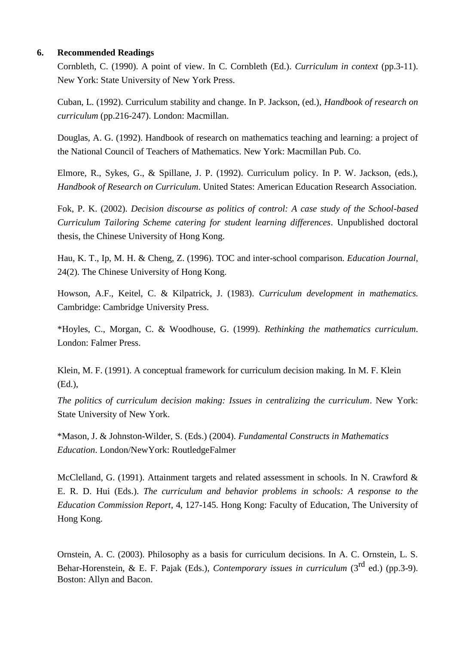## **6. Recommended Readings**

Cornbleth, C. (1990). A point of view. In C. Cornbleth (Ed.). *Curriculum in context* (pp.3-11). New York: State University of New York Press.

Cuban, L. (1992). Curriculum stability and change. In P. Jackson, (ed.), *Handbook of research on curriculum* (pp.216-247). London: Macmillan.

Douglas, A. G. (1992). Handbook of research on mathematics teaching and learning: a project of the National Council of Teachers of Mathematics. New York: Macmillan Pub. Co.

Elmore, R., Sykes, G., & Spillane, J. P. (1992). Curriculum policy. In P. W. Jackson, (eds.), *Handbook of Research on Curriculum*. United States: American Education Research Association.

Fok, P. K. (2002). *Decision discourse as politics of control: A case study of the School-based Curriculum Tailoring Scheme catering for student learning differences*. Unpublished doctoral thesis, the Chinese University of Hong Kong.

Hau, K. T., Ip, M. H. & Cheng, Z. (1996). TOC and inter-school comparison. *Education Journal,* 24(2). The Chinese University of Hong Kong.

Howson, A.F., Keitel, C. & Kilpatrick, J. (1983). *Curriculum development in mathematics.* Cambridge: Cambridge University Press.

\*Hoyles, C., Morgan, C. & Woodhouse, G. (1999). *Rethinking the mathematics curriculum*. London: Falmer Press.

Klein, M. F. (1991). A conceptual framework for curriculum decision making. In M. F. Klein (Ed.),

*The politics of curriculum decision making: Issues in centralizing the curriculum*. New York: State University of New York.

\*Mason, J. & Johnston-Wilder, S. (Eds.) (2004). *Fundamental Constructs in Mathematics Education*. London/NewYork: RoutledgeFalmer

McClelland, G. (1991). Attainment targets and related assessment in schools. In N. Crawford & E. R. D. Hui (Eds.). *The curriculum and behavior problems in schools: A response to the Education Commission Report*, 4, 127-145. Hong Kong: Faculty of Education, The University of Hong Kong.

Ornstein, A. C. (2003). Philosophy as a basis for curriculum decisions. In A. C. Ornstein, L. S. Behar-Horenstein, & E. F. Pajak (Eds.), *Contemporary issues in curriculum* (3<sup>rd</sup> ed.) (pp.3-9). Boston: Allyn and Bacon.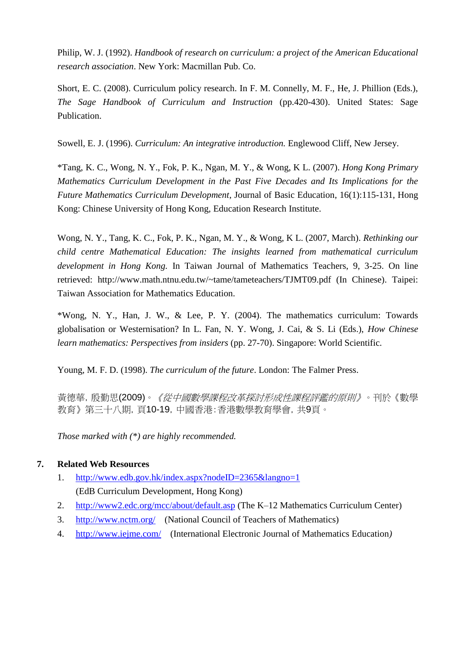Philip, W. J. (1992). *Handbook of research on curriculum: a project of the American Educational research association*. New York: Macmillan Pub. Co.

Short, E. C. (2008). Curriculum policy research. In F. M. Connelly, M. F., He, J. Phillion (Eds.), *The Sage Handbook of Curriculum and Instruction* (pp.420-430). United States: Sage Publication.

Sowell, E. J. (1996). *Curriculum: An integrative introduction.* Englewood Cliff, New Jersey.

\*Tang, K. C., Wong, N. Y., Fok, P. K., Ngan, M. Y., & Wong, K L. (2007). *Hong Kong Primary Mathematics Curriculum Development in the Past Five Decades and Its Implications for the Future Mathematics Curriculum Development*, Journal of Basic Education, 16(1):115-131, Hong Kong: Chinese University of Hong Kong, Education Research Institute.

Wong, N. Y., Tang, K. C., Fok, P. K., Ngan, M. Y., & Wong, K L. (2007, March). *Rethinking our child centre Mathematical Education: The insights learned from mathematical curriculum development in Hong Kong.* In Taiwan Journal of Mathematics Teachers, 9, 3-25. On line retrieved: http://www.math.ntnu.edu.tw/~tame/tameteachers/TJMT09.pdf (In Chinese). Taipei: Taiwan Association for Mathematics Education.

\*Wong, N. Y., Han, J. W., & Lee, P. Y. (2004). The mathematics curriculum: Towards globalisation or Westernisation? In L. Fan, N. Y. Wong, J. Cai, & S. Li (Eds.), *How Chinese learn mathematics: Perspectives from insiders* (pp. 27-70). Singapore: World Scientific.

Young, M. F. D. (1998). *The curriculum of the future*. London: The Falmer Press.

黃德華, 殷勤思(2009)。*《從中國數學課程改革探討形成性課程評鑑的原則》*。刊於《數學 教育》第三十八期,頁10-19,中國香港:香港數學教育學會,共9頁。

*Those marked with (\*) are highly recommended.*

## **7. Related Web Resources**

- 1. <http://www.edb.gov.hk/index.aspx?nodeID=2365&langno=1> (EdB Curriculum Development, Hong Kong)
- 2. <http://www2.edc.org/mcc/about/default.asp> (The K–12 Mathematics Curriculum Center)
- 3. <http://www.nctm.org/> (National Council of Teachers of Mathematics)
- 4. <http://www.iejme.com/> (International Electronic Journal of Mathematics Education*)*